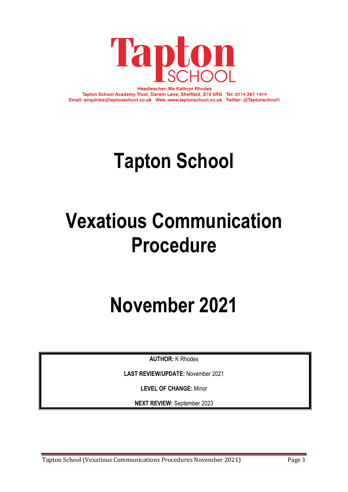

**Headteacher: Ms Kathryn Rhodes** Tapton School Academy Trust, Darwin Lane, Sheffield, S10 5RG Tel: 0114 267 1414 Email: enquiries@taptonschool.co.uk Web: www.taptonschool.co.uk Twitter: @Taptonschool1

# **Tapton School**

# **Vexatious Communication Procedure**

# **November 2021**

**AUTHOR:** K Rhodes

**LAST REVIEW/UPDATE:** November 2021

**LEVEL OF CHANGE:** Minor

**NEXT REVIEW:** September 2023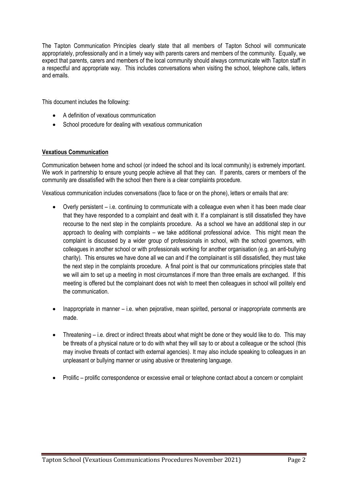The Tapton Communication Principles clearly state that all members of Tapton School will communicate appropriately, professionally and in a timely way with parents carers and members of the community. Equally, we expect that parents, carers and members of the local community should always communicate with Tapton staff in a respectful and appropriate way. This includes conversations when visiting the school, telephone calls, letters and emails.

This document includes the following:

- A definition of vexatious communication
- School procedure for dealing with vexatious communication

### **Vexatious Communication**

Communication between home and school (or indeed the school and its local community) is extremely important. We work in partnership to ensure young people achieve all that they can. If parents, carers or members of the community are dissatisfied with the school then there is a clear complaints procedure.

Vexatious communication includes conversations (face to face or on the phone), letters or emails that are:

- Overly persistent i.e. continuing to communicate with a colleague even when it has been made clear that they have responded to a complaint and dealt with it. If a complainant is still dissatisfied they have recourse to the next step in the complaints procedure. As a school we have an additional step in our approach to dealing with complaints – we take additional professional advice. This might mean the complaint is discussed by a wider group of professionals in school, with the school governors, with colleagues in another school or with professionals working for another organisation (e.g. an anti-bullying charity). This ensures we have done all we can and if the complainant is still dissatisfied, they must take the next step in the complaints procedure. A final point is that our communications principles state that we will aim to set up a meeting in most circumstances if more than three emails are exchanged. If this meeting is offered but the complainant does not wish to meet then colleagues in school will politely end the communication.
- Inappropriate in manner i.e. when pejorative, mean spirited, personal or inappropriate comments are made.
- Threatening i.e. direct or indirect threats about what might be done or they would like to do. This may be threats of a physical nature or to do with what they will say to or about a colleague or the school (this may involve threats of contact with external agencies). It may also include speaking to colleagues in an unpleasant or bullying manner or using abusive or threatening language.
- Prolific prolific correspondence or excessive email or telephone contact about a concern or complaint